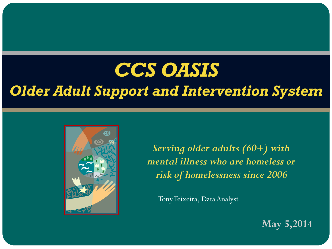## *CCS OASIS Older Adult Support and Intervention System*



*Serving older adults (60+) with mental illness who are homeless or risk of homelessness since 2006*

Tony Teixeira, Data Analyst

**May 5,2014**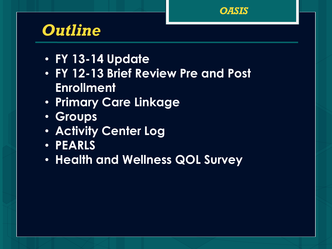

## *Outline*

- **FY 13-14 Update**
- **FY 12-13 Brief Review Pre and Post Enrollment**
- **Primary Care Linkage**
- **Groups**
- **Activity Center Log**
- **PEARLS**
- **Health and Wellness QOL Survey**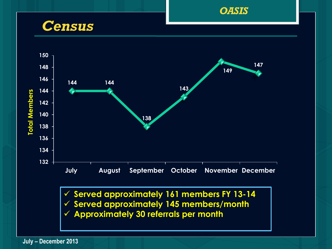

*Census*



 **Served approximately 161 members FY 13-14 Served approximately 145 members/month Approximately 30 referrals per month**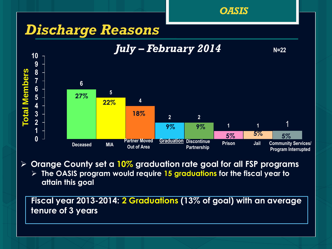

**Orange County set a 10% graduation rate goal for all FSP programs**

 **The OASIS program would require 15 graduations for the fiscal year to attain this goal**

**Fiscal year 2013-2014: 2 Graduations (13% of goal) with an average tenure of 3 years**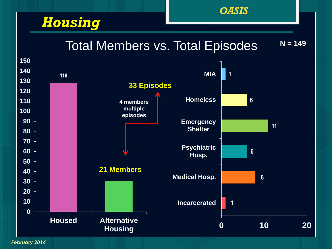### *Housing*

Total Members vs. Total Episodes

**N = 149**

*OASIS*



*February 2014*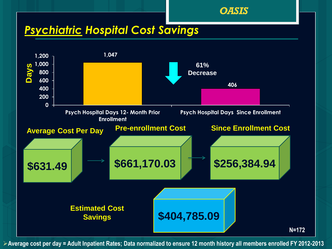#### *OASIS*

#### *Psychiatric Hospital Cost Savings*



**Average cost per day = Adult Inpatient Rates; Data normalized to ensure 12 month history all members enrolled FY 2012-2013**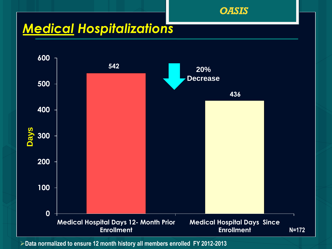

#### *Medical Hospitalizations*



**Data normalized to ensure 12 month history all members enrolled FY 2012-2013**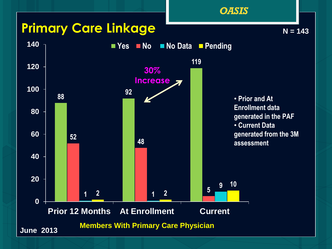#### **Primary Care Linkage**



**N = 143**

*OASIS*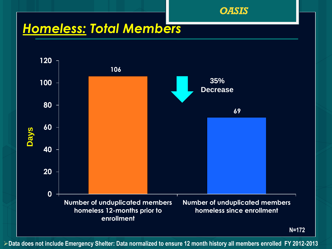*OASIS*

### *Homeless: Total Members*



**Data does not include Emergency Shelter: Data normalized to ensure 12 month history all members enrolled FY 2012-2013**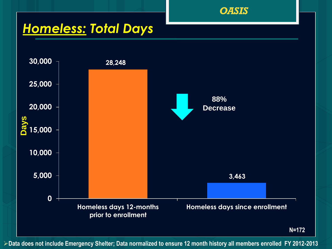

#### *Homeless: Total Days*



**Data does not include Emergency Shelter; Data normalized to ensure 12 month history all members enrolled FY 2012-2013**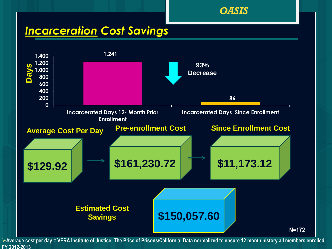

#### *Incarceration Cost Savings*



**Average cost per day = VERA Institute of Justice: The Price of Prisons/California; Data normalized to ensure 12 month history all members enrolled FY 2012-2013**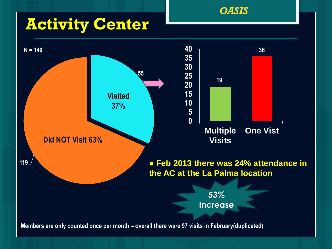## **Activity Center**



*OASIS*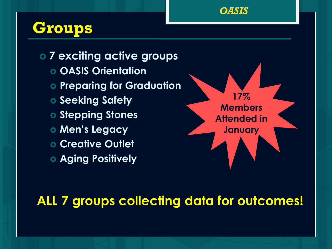

## **Groups**

 **7 exciting active groups OASIS Orientation Preparing for Graduation o** Seeking Safety **o Stepping Stones Men's Legacy Creative Outlet Aging Positively**



#### **ALL 7 groups collecting data for outcomes!**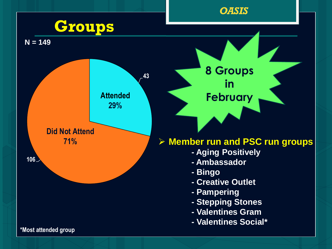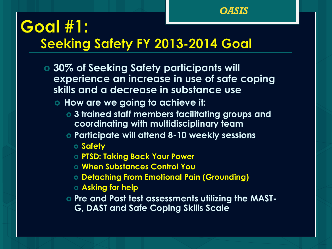

## **Goal #1: Seeking Safety FY 2013-2014 Goal**

- **30% of Seeking Safety participants will experience an increase in use of safe coping skills and a decrease in substance use**
	- **How are we going to achieve it:**
		- **3 trained staff members facilitating groups and coordinating with multidisciplinary team**
		- **Participate will attend 8-10 weekly sessions** 
			- **Safety**
			- **PTSD: Taking Back Your Power**
			- **When Substances Control You**
			- **Detaching From Emotional Pain (Grounding)**
			- **Asking for help**
		- **Pre and Post test assessments utilizing the MAST-**
			- **G, DAST and Safe Coping Skills Scale**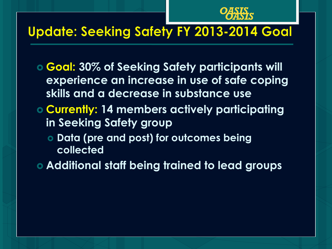

### **Update: Seeking Safety FY 2013-2014 Goal**

- **Goal: 30% of Seeking Safety participants will experience an increase in use of safe coping skills and a decrease in substance use**
- **Currently: 14 members actively participating in Seeking Safety group**
	- **Data (pre and post) for outcomes being collected**
- **Additional staff being trained to lead groups**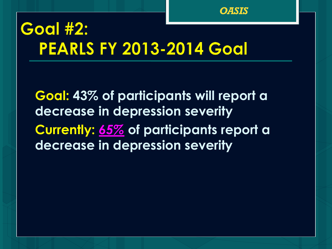

## **Goal #2: PEARLS FY 2013-2014 Goal**

**Goal: 43% of participants will report a decrease in depression severity Currently:** *65%* **of participants report a decrease in depression severity**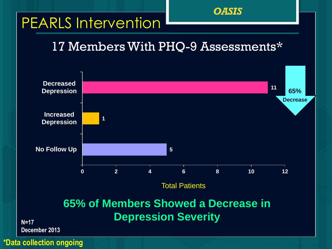## PEARLS Intervention

#### 17 Members With PHQ-9 Assessments\*

*OASIS*

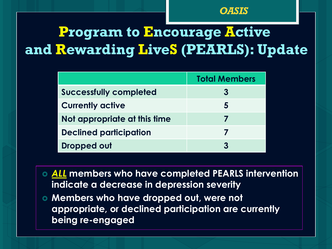## **Program to Encourage Active and Rewarding LiveS (PEARLS): Update**

|                               | <b>Total Members</b> |
|-------------------------------|----------------------|
| <b>Successfully completed</b> |                      |
| <b>Currently active</b>       | 5                    |
| Not appropriate at this time  |                      |
| <b>Declined participation</b> |                      |
| <b>Dropped out</b>            |                      |

 *ALL* **members who have completed PEARLS intervention indicate a decrease in depression severity**

 **Members who have dropped out, were not appropriate, or declined participation are currently being re-engaged**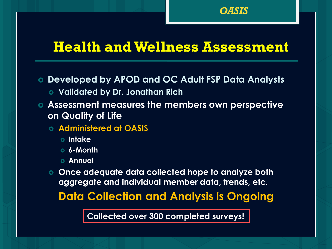

#### **Health and Wellness Assessment**

**Developed by APOD and OC Adult FSP Data Analysts**

- **Validated by Dr. Jonathan Rich**
- **Assessment measures the members own perspective on Quality of Life**

**Administered at OASIS** 

- **Intake**
- **6-Month**
- **Annual**

 **Once adequate data collected hope to analyze both aggregate and individual member data, trends, etc.** 

**Data Collection and Analysis is Ongoing**

**Collected over 300 completed surveys!**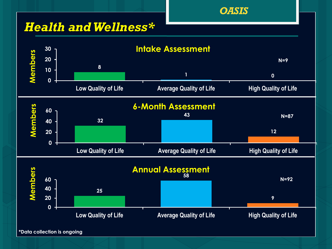#### *Health and Wellness\**



*OASIS*